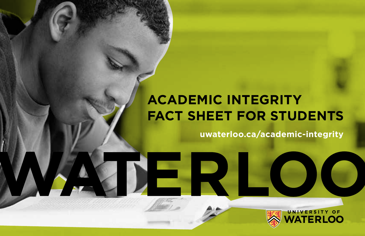# **academic Integrity Fact Sheet for Students**

**uwaterloo.ca/academic-integrity**